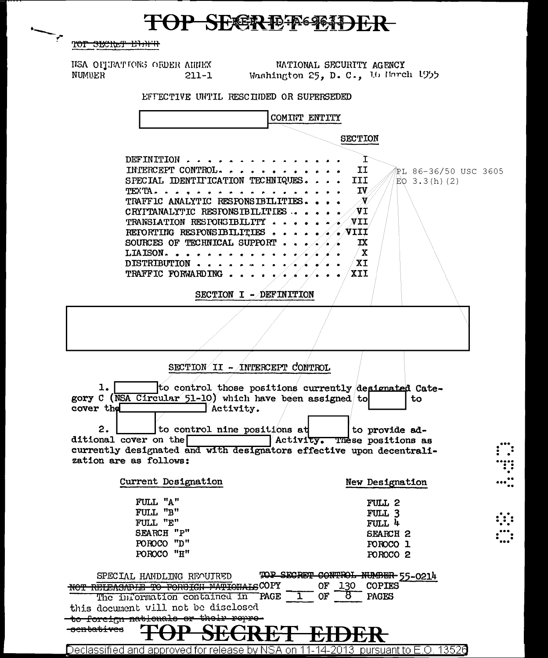## TOP SECREF FORDER

TOT SECRET EDITH

HSA OFFRATIONS ORDER AHHEX<br>NUMBER 211-1

NATIONAL SECURITY AGENCY Washington 25, D. C., 16 March 1955

EFFECTIVE UNTIL RESCIIDED OR SUPERSEDED

| COMINT ENTITY                                                                                                                                                                                                                                                                                                                          |                                                                                                                                   |
|----------------------------------------------------------------------------------------------------------------------------------------------------------------------------------------------------------------------------------------------------------------------------------------------------------------------------------------|-----------------------------------------------------------------------------------------------------------------------------------|
|                                                                                                                                                                                                                                                                                                                                        | <b>SECTION</b>                                                                                                                    |
| DEFINITION<br>INTERCEPT CONTROL.<br>SPECIAL IDENTITICATION TECHNIQUES.<br>TEXTA. .<br>TRAFFIC ANALYTIC RESPONSIBILITIES.<br>CRYPTANALYTIC RESPONSIBILITIES.<br>TRANSIATION RESPONSIBILITY.<br>REFORTING RESPONSIBILITIES.<br>SOURCES OF TECHNICAL SUPPORT.<br>LIAISON<br>DISTRIBUTION<br>TRAFFIC FORWARDING.<br>SECTION I - DEFINITION | I<br>II<br>®PL 86-36/50 USC 3605<br>III<br>EQ $3.3(h)(2)$<br>IV.<br>- N/<br>VI<br>$\sqrt{11}$<br>. VIII<br>IX<br>∕ X<br>XI<br>XII |
|                                                                                                                                                                                                                                                                                                                                        |                                                                                                                                   |
| SECTION II - INTERCEPT CONTROL                                                                                                                                                                                                                                                                                                         |                                                                                                                                   |
| 1.<br>to control those positions currently designated Cate-<br>gory C (NSA Circular 51-10) which have been assigned to<br>cover the<br>Activity.<br>2.<br>to control nine positions at<br>ditional cover on the<br>currently designated and with designators effective upon decentrali-<br>zation are as follows:                      | to<br>to provide ad-<br>Activity. These positions as                                                                              |
| Current Designation                                                                                                                                                                                                                                                                                                                    | New Designation                                                                                                                   |
| FULL "A"<br>$\texttt{FULL}$ "B"<br>FULL "E"<br>SEARCH "P"<br>POROCO "D"<br>POROCO "H"                                                                                                                                                                                                                                                  | FULL 2<br>FULL 3<br>FULL 4<br><b>SEARCH 2</b><br>FOROCO 1<br>POROCO <sub>2</sub>                                                  |
| TOP SECRET<br>SPECIAL HANDLING REOUTRED<br>NOT RELEASABLE TO FORBIGH NATIONALSCOPY<br>OF<br>OF<br>`PAGE<br>The information contained in<br>this document will not be disclosed<br>to foreign nationals or their repre-                                                                                                                 | CONTROL<br><b>COPIES</b><br>130<br>PAGES<br>ö                                                                                     |
| <del>ntatives</del>                                                                                                                                                                                                                                                                                                                    |                                                                                                                                   |
| Declassified and approved for release by NSA on<br>-14-2013-                                                                                                                                                                                                                                                                           | pursuant to E.O. 13526                                                                                                            |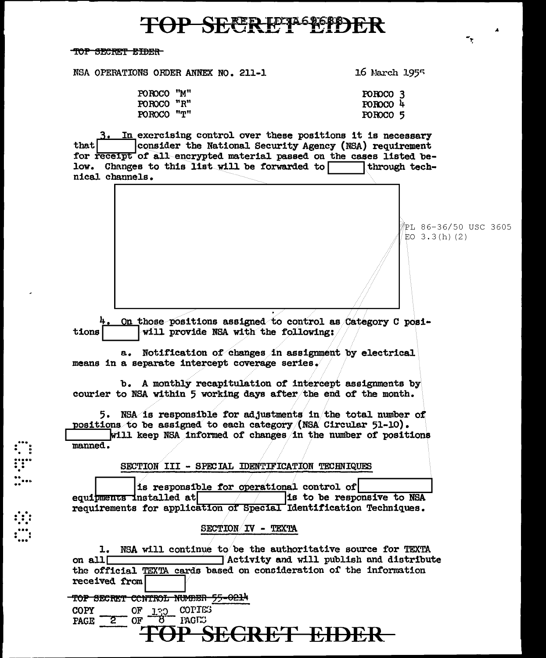### **P SEFR FETA STOP**

TOP SECRET EIDER

NSA OPERATIONS ORDER ANNEX NO. 211-1

POROCO "M"

POROCO "R"

POROCO "T"

16 March 1955

POROCO<sub>3</sub>

POROCO 4

POROCO<sub>5</sub>

3. In exercising control over these positions it is necessary that consider the National Security Agency (NSA) requirement for receipt of all encrypted material passed on the cases listed below. Changes to this list will be forwarded to through technical channels.

\*PL 86-36/50 USC 3605 EO  $3.3(h)$  (2) On those positions assigned to control as Category C posi-

tions will provide NSA with the following:

a. Notification of changes in assignment by electrical means in a separate intercept coverage series.

b. A monthly recapitulation of intercept assignments by courier to NSA within 5 working days after the end of the month.

5. NSA is responsible for adjustments in the total number of positions to be assigned to each category (NSA Circular 51-10). will keep NSA informed of changes in the number of positions manned.

SECTION III - SPECIAL IDENTIFICATION TECHNIQUES

is responsible for operational control of equipments installed at is to be responsive to NSA requirements for application of Special Identification Techniques.

SECTION IV - TEXTA

1. NSA will continue to be the authoritative source for TEXTA on all  $\Box$ Activity and will publish and distribute the official TEXTA cards based on consideration of the information received from

TOP SECRET CONTROL NUMBER 55-0214

OF 130 COPIES COPY  $\overline{2}$ **PAGE** 

# SECRET EIDER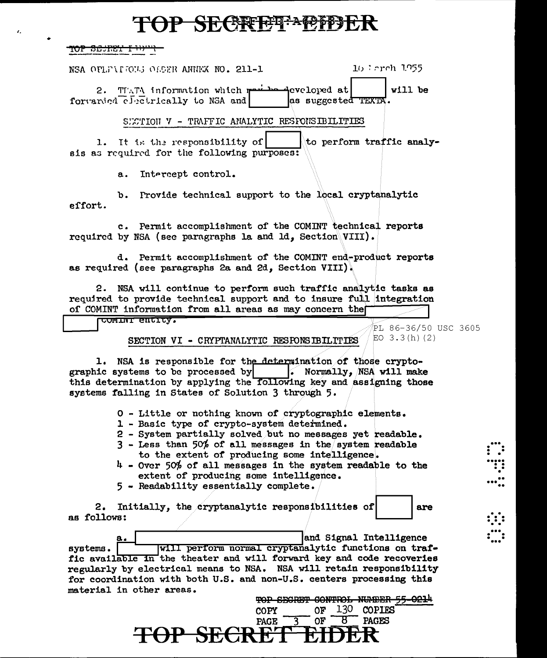#### **P SECREET ACTE**

<del>TOP SENET I</del>

 $\lambda$ 

NSA OPLEAIGES ORDER ANNEW NO. 211-1

16 Ferch 1955

are

∷:

TIATA information which reviewed exclored at will be  $2.$ forwarded electrically to NSA and as suggested TEXTA.

SECTION V - TRAFFIC ANALYTIC RESPONSIBILITIES

1. It is the responsibility of to perform traffic analyais as required for the following purposes:

> $a<sub>1</sub>$ Intercept control.

b. Provide technical support to the local cryptanalytic effort.

c. Permit accomplishment of the COMINT technical reports required by NSA (see paragraphs la and ld. Section VIII).

d. Permit accomplishment of the COMINT end-product reports as required (see paragraphs 2a and 2d. Section VIII).

2. NSA will continue to perform such traffic analytic tasks as required to provide technical support and to insure full integration of COMINT information from all areas as may concern the

COMINI ENCITY. PL 86-36/50 USC 3605 EO  $3.3(h)(2)$ SECTION VI - CRYPTANALYTIC RESPONSIBILITIES

1. NSA is responsible for the determination of those cryptographic systems to be processed by . Normally, NSA will make this determination by applying the following key and assigning those systems falling in States of Solution 3 through 5.

0 - Little or nothing known of cryptographic elements.

- 1 Basic type of crypto-system determined.
- 2 System partially solved but no messages yet readable.
- $3$  Less than 50% of all messages in the system readable to the extent of producing some intelligence.
- $4$  Over 50% of all messages in the system readable to the extent of producing some intelligence.
- 5 Readability essentially complete.

2. Initially, the cryptanalytic responsibilities of as follows:

and Signal Intelligence will perform normal cryptanalytic functions on trafsystems. fic available in the theater and will forward key and code recoveries regularly by electrical means to NSA. NSA will retain responsibility for coordination with both U.S. and non-U.S. centers processing this material in other areas. щ.

|                  |        |        |           | TOP SECRET CONTROL NUMBER 55-02 |  |
|------------------|--------|--------|-----------|---------------------------------|--|
|                  | COPY - |        |           | OF 130 COPIES                   |  |
|                  |        | PAGE 3 | $OF \t B$ | <b>PAGES</b>                    |  |
| TOP SECRET EIDER |        |        |           |                                 |  |
|                  |        |        |           |                                 |  |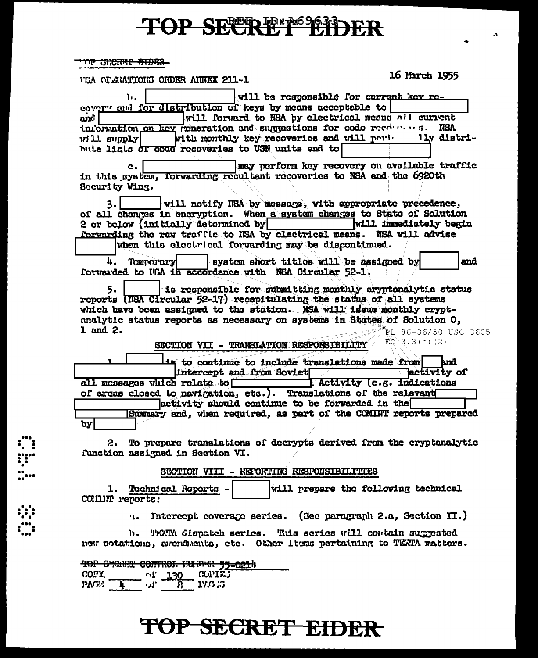# TOP SECRET LIDER

 $\mathbf{A}$ 

 $\sim$ 

#### <del>רגאנותו יואוגאמו. סמי</del>

 $\frac{1}{1}$ 

| UCA OPERATIONS ORDER AINEX 211-1                                                                                                                                                                                                                                                                                                                                             | 16 March 1955                                                                  |
|------------------------------------------------------------------------------------------------------------------------------------------------------------------------------------------------------------------------------------------------------------------------------------------------------------------------------------------------------------------------------|--------------------------------------------------------------------------------|
| will be responsible for current key re-<br>ъ.<br>covery and for distribution of keys by means acceptable to<br>will forward to NSA by electrical means nil current<br>ond<br>information on key generation and suggestions for code recommens.<br>with monthly key recoveries and will port. Ily distri-<br>vill supply<br>bute liats of coac recoveries to USN units and to | <b>IIBA</b>                                                                    |
| c.<br>in this system, forwarding resultant recoveries to NSA and the 6920th<br>Security Wing.<br>will notify ISA by message, with appropriate precedence.<br>٩.<br>of all changes in encryption. When a system changes to State of Solution<br>2 or below (initially determined by<br>forwarding the raw traffic to NSA by clectrical means. NSA will advise                 | may perform key recovery on avsilable traffic<br><b>will immediately begin</b> |
| when this electrical forwarding may be discontinued.                                                                                                                                                                                                                                                                                                                         |                                                                                |
| system short titles will be assigned by<br>4.<br>Termorary<br>forwarded to With in accordance with NSA Circular 52-1.                                                                                                                                                                                                                                                        | and                                                                            |
| is responsible for submitting monthly cryptonalytic status<br>5.<br>reports (NSA Circular 52-17) recapitulating the status of all systems<br>which bave been assigned to the station. NSA will issue monthly crypt-<br>analytic status reports as necessary on systems in States of Solution O,<br>1 and 2.<br>SECTION VII - TRANSLATION RESPONSIBILITY                      | PL 86-36/50 USC 3605<br>$EQ = 3(h) (2)$                                        |
| is to continue to include translations made from                                                                                                                                                                                                                                                                                                                             | and                                                                            |
| Intercept and from Soviet<br>all messages which relate to<br>of arcas closed to navigation, etc.). Translations of the relevant<br>activity should continue to be forwarded in the<br>Summary and, when required, as part of the COMINT reports prepared<br>by                                                                                                               | <b>activity of</b><br>[ Activity (e.g. indications                             |
| 2. To prepare translations of decrypts derived from the cryptanalytic                                                                                                                                                                                                                                                                                                        |                                                                                |
| function assigned in Section VI.                                                                                                                                                                                                                                                                                                                                             |                                                                                |
| SECTION VIII - KEPORTIKG RESPONSIBILITIES                                                                                                                                                                                                                                                                                                                                    |                                                                                |
| 1. Technical Reports -<br>CONNET reports:                                                                                                                                                                                                                                                                                                                                    | will prepare the following technical                                           |
| Intercept coverage series. (See paragraph 2.a, Section II.)                                                                                                                                                                                                                                                                                                                  |                                                                                |
| b. TATA dispatch series. This series will contain suggested<br>new notations, accadents, etc. Other items pertaining to TEXTA matters.                                                                                                                                                                                                                                       |                                                                                |
| 40P SYCHER CONTROL HURTHER 53-0214<br>COPY<br><b>CONTRJ</b><br>130<br>10<br>17.0 03<br>PAGE 1<br>'اد ،                                                                                                                                                                                                                                                                       |                                                                                |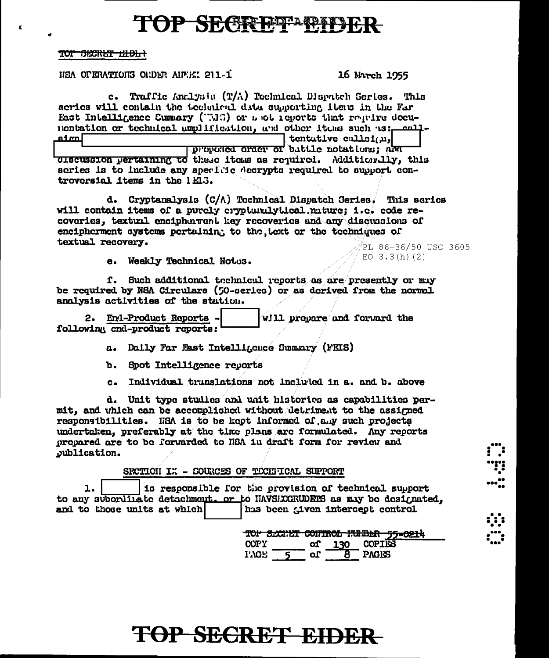## **TOP SECRETAPIES**

TOP SECRET EIELA

USA OPERATIONS OUDER AIRPORT 211-1

16 March 1955

EQ  $3.3(h)(2)$ 

c. Traffic Analysis (T/A) Technical Disenteh Series. This scries will contain the technical data supporting items in the Far East Intelligence Cummary ("MS) or such reports that require docunentation or technical amplification, and other items such as: calllmta tentative callsian,

proposed order of buttle notations: and discussion pertaining to these items as required. Additionally, this scries is to include any specific decrypts required to support controversial items in the  $1E3$ .

d. Cryptanalysis (C/A) Technical Dispatch Series. This series will contain items of a purcly crypturalytical miture: i.e. code recoveries, textual encipherment key recoveries and any discussions of encipherment systems pertaining to the lect or the techniques of textual recovery. PL 86-36/50 USC 3605

e. Weekly Technical Notos.

f. Such additional technical reports as are presently or may be required by NSA Circulars (50-series) or as derived from the normal analysis activities of the station.

2. End-Product Reports will prepare and forward the following cnd-product reports:

a. Daily Far Fast Intelligence Summary (FEIS)

b. Spot Intelligence revorts

Individual trunslations not included in a. and b. above  $c_{\bullet}$ 

d. Unit type studies and unit histories as capabilities permit, and which can be accomplished without detriment to the assigned responsibilities. HSA is to be kept informed of any such projects undertaken, preferably at the time plans are formulated. Any reports prepared are to be forwarded to NSA in draft form for review and publication.

SECTION IX - COURCES OF TECHTICAL SUPPORT

ı. is responsible for the provision of technical support to any subordinate detachment. or to HAVSEXCRUDERS as may be designated, and to those units at which hus been given intercept control

> TOP SECRET CONTROL HULBER 55-0214 **COPIES COPY** of 130  $1.707 -$ 8 PAGES  $\overline{5}$  or  $\overline{5}$

# ...<br>"!!<br>...<u>..</u> ";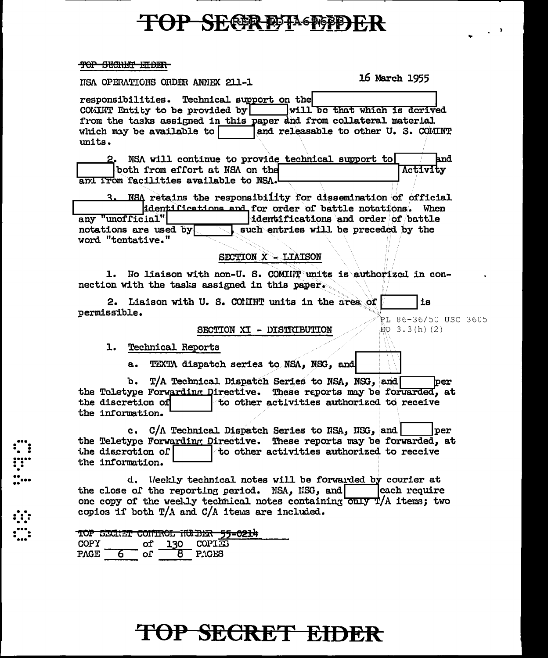### **TOP SECRETA DEPARTMENT**

#### <del>TOP SECNET ELDER</del>

ISA OPERATIONS ORDER ANNEX 211-1

16 March 1955

responsibilities. Technical support on the COMINT Entity to be provided by  $\vert$  will be that which is derived from the tasks assigned in this paper and from collateral material which may be available to and releasable to other U. S. COMINT units. 2. NSA will continue to provide technical support to and both from effort at NSA on the Activity and ITom facilities available to NSA. 3. NSA retains the responsibility for dissemination of official identifications and for order of battle notations. When any "unofficial" dentifications and order of battle notations are used by such entries will be preceded by the word "tentative."

SECTION X - LIAISON

1. No liaison with non-U. S. COMINT units is authorized in connection with the tasks assigned in this paper.

2. Liaison with U. S. CONINT units in the area of iв permissible.

SECTION XI - DISTRIBUTION

PL 86-36/50 USC 3605  $EQ$  3.3(h)(2)

1. Technical Reports

-----<br>---<br>-----<br>----

 $a.$ TEXTA dispatch series to NSA, NSG, and

T/A Technical Dispatch Series to NSA, NSG, and b.  $per$ the Teletype Forwarding Directive. These reports may be forwarded, at the discretion of to other activities authorized to receive the information.

c. C/A Technical Dispatch Series to NSA, NSG, and l per the Teletype Forwarding Directive. These reports may be forwarded, at to other activities authorized to receive the discretion of the information.

d. Weekly technical notes will be forwarded by courier at the close of the reporting period. NSA, NSG, and each require one copy of the weelly technical notes containing only T/A items; two copies if both  $T/A$  and  $C/A$  items are included.

|             |     |            | TOP SECRET CONTROL NUMBER 55-0214 |
|-------------|-----|------------|-----------------------------------|
| COPY        | OI. | <b>130</b> | COPIES                            |
| <b>PAGE</b> | nΓ  |            |                                   |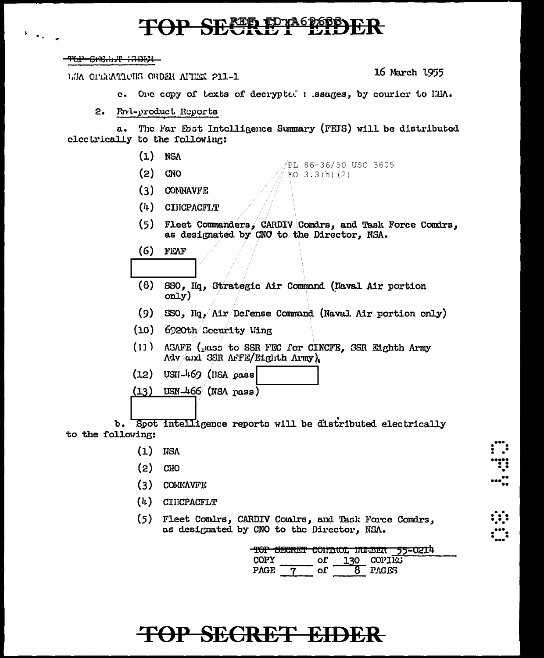# OP SECRET ETROPS

<del>יאטרון יולאטיוס יוליים - 19</del>

LEA OPERATIONS ORDER AITEEN 211-1

16 March 1955

- c. One copy of texts of decrypted a ssages, by courier to IEM.
- Fnd-product Reports  $2.$

The Far Esst Intelligence Summary (FEIS) will be distributed  $a.$ electrically to the following:

- $(1)$ **NSA**
- PL 86-36/50 USC 3605  $(2)$ **CNO** EO  $3.3(h)$  (2)
- $(3)$  CONNAVFE
- $(4)$  CINCPACFLT
- (5) Fleet Commanders, CARDIV Comdrs, and Task Force Comdrs, as designated by CNO to the Director, NSA.
- $(6)$ FEAF
- $(8)$ SSO, IIq, Strategic Air Command (Naval Air portion only)
- $(9)$ SSO,  $\text{Hq}_1/\text{Air}/\text{Defense Command}$  (Naval Air portion only)
- (10) 6920th Security Wing
- $(11)$ ASAFE (pass to SSR FEC for CINCFE, SSR Eighth Army Adv and SSR AFFE/Eighth Army)
- $(12)$  $USII - 469$  (IISA pass
- $(13)$  USN-466 (NSA pass)

b. Spot intelligence reports will be distributed electrically to the following:

- $(1)$ **IISV**
- $(2)$ **CIIO**
- $(3)$ COMMANTE
- $(4)$ **CIIICPACFLT**
- $(5)$ Fleet Comdrs, CARDIV Comdrs, and Task Force Comdrs, as designated by CNO to the Director, NSA.

| <u>TUI DECNET CONTINUL NUMBER</u> | --- |            | 55-0214 |
|-----------------------------------|-----|------------|---------|
| COPY                              | оF  | 130 COPIES |         |
| <b>PAGE</b>                       |     | PAGES      |         |

.....